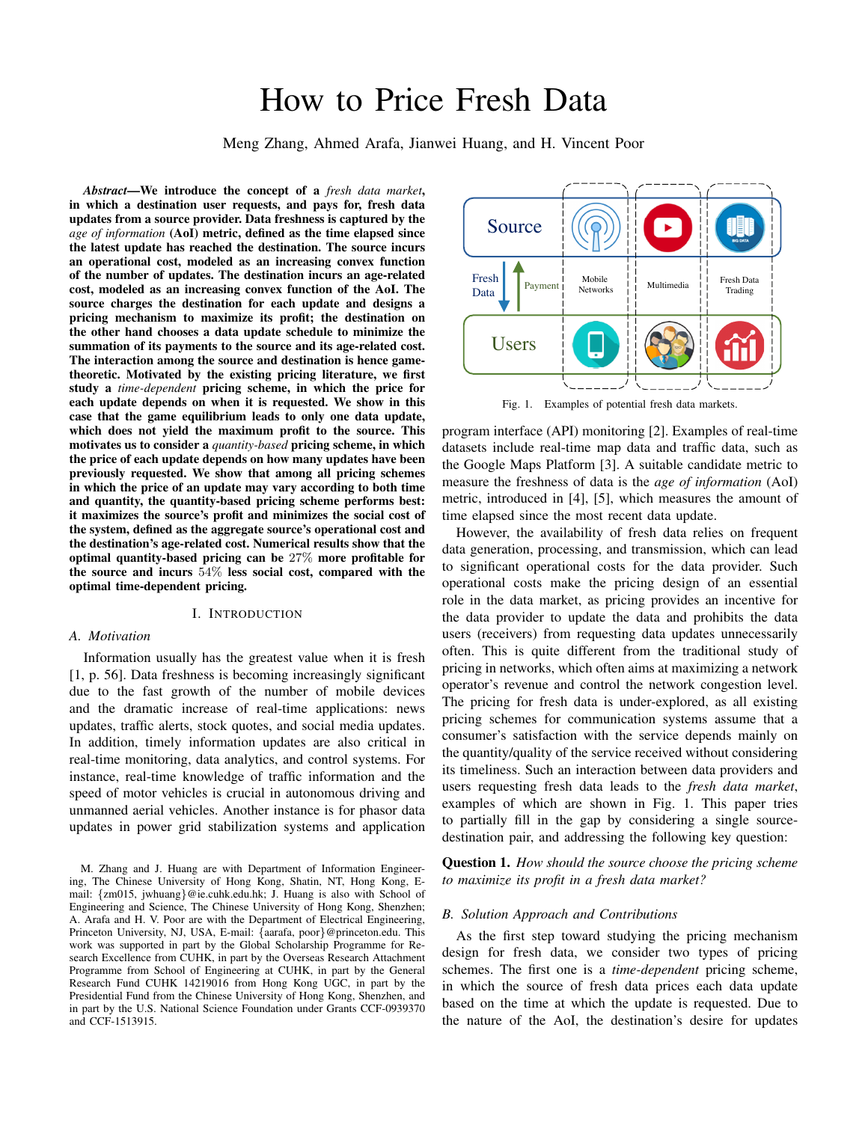# How to Price Fresh Data

Meng Zhang, Ahmed Arafa, Jianwei Huang, and H. Vincent Poor

*Abstract*—We introduce the concept of a *fresh data market*, in which a destination user requests, and pays for, fresh data updates from a source provider. Data freshness is captured by the *age of information* (AoI) metric, defined as the time elapsed since the latest update has reached the destination. The source incurs an operational cost, modeled as an increasing convex function of the number of updates. The destination incurs an age-related cost, modeled as an increasing convex function of the AoI. The source charges the destination for each update and designs a pricing mechanism to maximize its profit; the destination on the other hand chooses a data update schedule to minimize the summation of its payments to the source and its age-related cost. The interaction among the source and destination is hence gametheoretic. Motivated by the existing pricing literature, we first study a *time-dependent* pricing scheme, in which the price for each update depends on when it is requested. We show in this case that the game equilibrium leads to only one data update, which does not yield the maximum profit to the source. This motivates us to consider a *quantity-based* pricing scheme, in which the price of each update depends on how many updates have been previously requested. We show that among all pricing schemes in which the price of an update may vary according to both time and quantity, the quantity-based pricing scheme performs best: it maximizes the source's profit and minimizes the social cost of the system, defined as the aggregate source's operational cost and the destination's age-related cost. Numerical results show that the optimal quantity-based pricing can be 27% more profitable for the source and incurs 54% less social cost, compared with the optimal time-dependent pricing.

## I. INTRODUCTION

# *A. Motivation*

Information usually has the greatest value when it is fresh [1, p. 56]. Data freshness is becoming increasingly significant due to the fast growth of the number of mobile devices and the dramatic increase of real-time applications: news updates, traffic alerts, stock quotes, and social media updates. In addition, timely information updates are also critical in real-time monitoring, data analytics, and control systems. For instance, real-time knowledge of traffic information and the speed of motor vehicles is crucial in autonomous driving and unmanned aerial vehicles. Another instance is for phasor data updates in power grid stabilization systems and application



Fig. 1. Examples of potential fresh data markets.

program interface (API) monitoring [2]. Examples of real-time datasets include real-time map data and traffic data, such as the Google Maps Platform [3]. A suitable candidate metric to measure the freshness of data is the *age of information* (AoI) metric, introduced in [4], [5], which measures the amount of time elapsed since the most recent data update.

However, the availability of fresh data relies on frequent data generation, processing, and transmission, which can lead to significant operational costs for the data provider. Such operational costs make the pricing design of an essential role in the data market, as pricing provides an incentive for the data provider to update the data and prohibits the data users (receivers) from requesting data updates unnecessarily often. This is quite different from the traditional study of pricing in networks, which often aims at maximizing a network operator's revenue and control the network congestion level. The pricing for fresh data is under-explored, as all existing pricing schemes for communication systems assume that a consumer's satisfaction with the service depends mainly on the quantity/quality of the service received without considering its timeliness. Such an interaction between data providers and users requesting fresh data leads to the *fresh data market*, examples of which are shown in Fig. 1. This paper tries to partially fill in the gap by considering a single sourcedestination pair, and addressing the following key question:

Question 1. *How should the source choose the pricing scheme to maximize its profit in a fresh data market?*

#### *B. Solution Approach and Contributions*

As the first step toward studying the pricing mechanism design for fresh data, we consider two types of pricing schemes. The first one is a *time-dependent* pricing scheme, in which the source of fresh data prices each data update based on the time at which the update is requested. Due to the nature of the AoI, the destination's desire for updates

M. Zhang and J. Huang are with Department of Information Engineering, The Chinese University of Hong Kong, Shatin, NT, Hong Kong, Email: *{*zm015, jwhuang*}*@ie.cuhk.edu.hk; J. Huang is also with School of Engineering and Science, The Chinese University of Hong Kong, Shenzhen; A. Arafa and H. V. Poor are with the Department of Electrical Engineering, Princeton University, NJ, USA, E-mail: *{*aarafa, poor*}*@princeton.edu. This work was supported in part by the Global Scholarship Programme for Research Excellence from CUHK, in part by the Overseas Research Attachment Programme from School of Engineering at CUHK, in part by the General Research Fund CUHK 14219016 from Hong Kong UGC, in part by the Presidential Fund from the Chinese University of Hong Kong, Shenzhen, and in part by the U.S. National Science Foundation under Grants CCF-0939370 and CCF-1513915.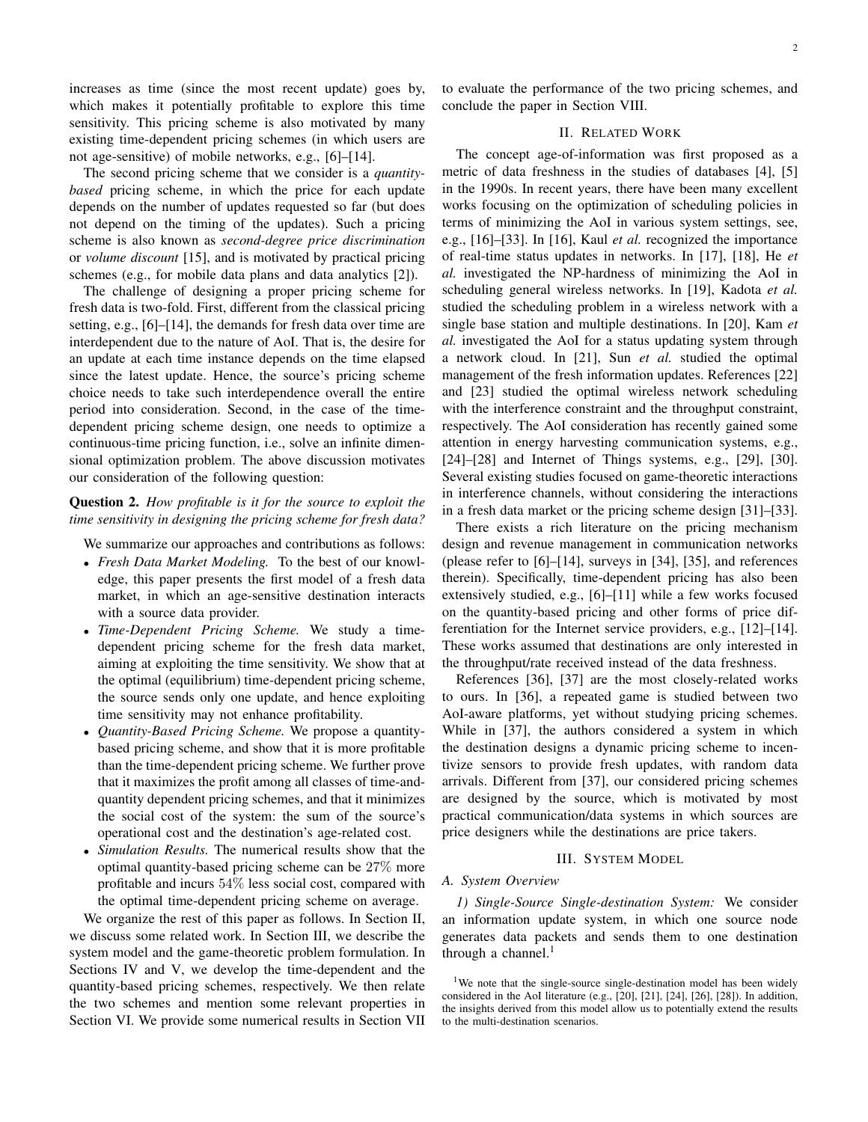increases as time (since the most recent update) goes by, which makes it potentially profitable to explore this time sensitivity. This pricing scheme is also motivated by many existing time-dependent pricing schemes (in which users are not age-sensitive) of mobile networks, e.g., [6]–[14].

The second pricing scheme that we consider is a *quantitybased* pricing scheme, in which the price for each update depends on the number of updates requested so far (but does not depend on the timing of the updates). Such a pricing scheme is also known as *second-degree price discrimination* or *volume discount* [15], and is motivated by practical pricing schemes (e.g., for mobile data plans and data analytics [2]).

The challenge of designing a proper pricing scheme for fresh data is two-fold. First, different from the classical pricing setting, e.g., [6]–[14], the demands for fresh data over time are interdependent due to the nature of AoI. That is, the desire for an update at each time instance depends on the time elapsed since the latest update. Hence, the source's pricing scheme choice needs to take such interdependence overall the entire period into consideration. Second, in the case of the timedependent pricing scheme design, one needs to optimize a continuous-time pricing function, i.e., solve an infinite dimensional optimization problem. The above discussion motivates our consideration of the following question:

# Question 2. *How profitable is it for the source to exploit the time sensitivity in designing the pricing scheme for fresh data?*

We summarize our approaches and contributions as follows:

- *• Fresh Data Market Modeling.* To the best of our knowledge, this paper presents the first model of a fresh data market, in which an age-sensitive destination interacts with a source data provider.
- *• Time-Dependent Pricing Scheme.* We study a timedependent pricing scheme for the fresh data market, aiming at exploiting the time sensitivity. We show that at the optimal (equilibrium) time-dependent pricing scheme, the source sends only one update, and hence exploiting time sensitivity may not enhance profitability.
- *• Quantity-Based Pricing Scheme.* We propose a quantitybased pricing scheme, and show that it is more profitable than the time-dependent pricing scheme. We further prove that it maximizes the profit among all classes of time-andquantity dependent pricing schemes, and that it minimizes the social cost of the system: the sum of the source's operational cost and the destination's age-related cost.
- *• Simulation Results.* The numerical results show that the optimal quantity-based pricing scheme can be 27% more profitable and incurs 54% less social cost, compared with the optimal time-dependent pricing scheme on average.

We organize the rest of this paper as follows. In Section II, we discuss some related work. In Section III, we describe the system model and the game-theoretic problem formulation. In Sections IV and V, we develop the time-dependent and the quantity-based pricing schemes, respectively. We then relate the two schemes and mention some relevant properties in Section VI. We provide some numerical results in Section VII to evaluate the performance of the two pricing schemes, and conclude the paper in Section VIII.

# II. RELATED WORK

The concept age-of-information was first proposed as a metric of data freshness in the studies of databases [4], [5] in the 1990s. In recent years, there have been many excellent works focusing on the optimization of scheduling policies in terms of minimizing the AoI in various system settings, see, e.g., [16]–[33]. In [16], Kaul *et al.* recognized the importance of real-time status updates in networks. In [17], [18], He *et al.* investigated the NP-hardness of minimizing the AoI in scheduling general wireless networks. In [19], Kadota *et al.* studied the scheduling problem in a wireless network with a single base station and multiple destinations. In [20], Kam *et al.* investigated the AoI for a status updating system through a network cloud. In [21], Sun *et al.* studied the optimal management of the fresh information updates. References [22] and [23] studied the optimal wireless network scheduling with the interference constraint and the throughput constraint, respectively. The AoI consideration has recently gained some attention in energy harvesting communication systems, e.g., [24]–[28] and Internet of Things systems, e.g., [29], [30]. Several existing studies focused on game-theoretic interactions in interference channels, without considering the interactions in a fresh data market or the pricing scheme design [31]–[33].

There exists a rich literature on the pricing mechanism design and revenue management in communication networks (please refer to [6]–[14], surveys in [34], [35], and references therein). Specifically, time-dependent pricing has also been extensively studied, e.g., [6]–[11] while a few works focused on the quantity-based pricing and other forms of price differentiation for the Internet service providers, e.g., [12]–[14]. These works assumed that destinations are only interested in the throughput/rate received instead of the data freshness.

References [36], [37] are the most closely-related works to ours. In [36], a repeated game is studied between two AoI-aware platforms, yet without studying pricing schemes. While in [37], the authors considered a system in which the destination designs a dynamic pricing scheme to incentivize sensors to provide fresh updates, with random data arrivals. Different from [37], our considered pricing schemes are designed by the source, which is motivated by most practical communication/data systems in which sources are price designers while the destinations are price takers.

#### III. SYSTEM MODEL

#### *A. System Overview*

*1) Single-Source Single-destination System:* We consider an information update system, in which one source node generates data packets and sends them to one destination through a channel. $<sup>1</sup>$ </sup>

<sup>&</sup>lt;sup>1</sup>We note that the single-source single-destination model has been widely considered in the AoI literature (e.g., [20], [21], [24], [26], [28]). In addition, the insights derived from this model allow us to potentially extend the results to the multi-destination scenarios.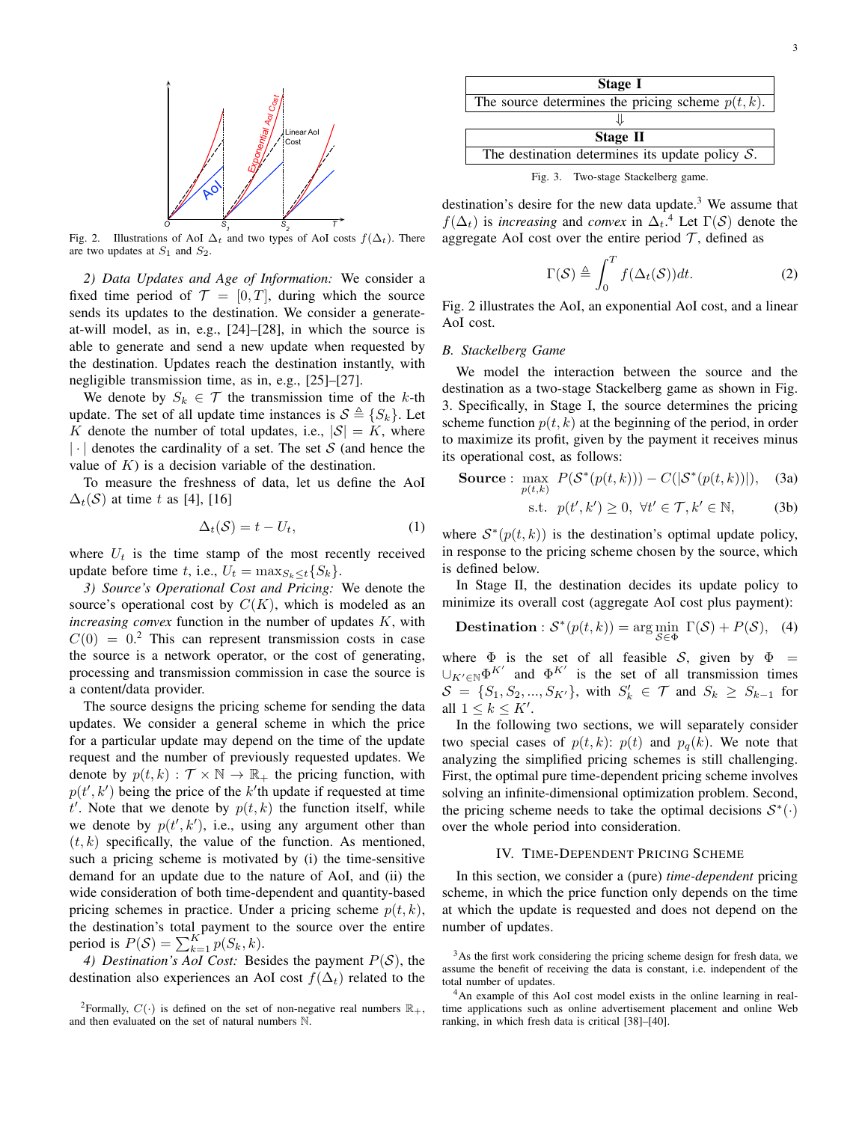

Fig. 2. Illustrations of AoI  $\Delta_t$  and two types of AoI costs  $f(\Delta_t)$ . There are two updates at  $S_1$  and  $S_2$ .

*2) Data Updates and Age of Information:* We consider a fixed time period of  $\mathcal{T} = [0, T]$ , during which the source sends its updates to the destination. We consider a generateat-will model, as in, e.g., [24]–[28], in which the source is able to generate and send a new update when requested by the destination. Updates reach the destination instantly, with negligible transmission time, as in, e.g., [25]–[27].

We denote by  $S_k \in \mathcal{T}$  the transmission time of the *k*-th update. The set of all update time instances is  $S \triangleq \{S_k\}$ . Let *K* denote the number of total updates, i.e.,  $|S| = K$ , where *|·|* denotes the cardinality of a set. The set *S* (and hence the value of  $K$ ) is a decision variable of the destination.

To measure the freshness of data, let us define the AoI  $\Delta_t(\mathcal{S})$  at time *t* as [4], [16]

$$
\Delta_t(\mathcal{S}) = t - U_t,\tag{1}
$$

where  $U_t$  is the time stamp of the most recently received update before time *t*, i.e.,  $U_t = \max_{S_k \leq t} \{S_k\}.$ 

*3) Source's Operational Cost and Pricing:* We denote the source's operational cost by  $C(K)$ , which is modeled as an *increasing convex* function in the number of updates *K*, with  $C(0) = 0$ <sup>2</sup> This can represent transmission costs in case the source is a network operator, or the cost of generating, processing and transmission commission in case the source is a content/data provider.

The source designs the pricing scheme for sending the data updates. We consider a general scheme in which the price for a particular update may depend on the time of the update request and the number of previously requested updates. We denote by  $p(t, k) : \mathcal{T} \times \mathbb{N} \to \mathbb{R}_+$  the pricing function, with  $p(t', k')$  being the price of the  $k'$ <sup>th</sup> update if requested at time  $t'$ . Note that we denote by  $p(t, k)$  the function itself, while we denote by  $p(t', k')$ , i.e., using any argument other than  $(t, k)$  specifically, the value of the function. As mentioned, such a pricing scheme is motivated by (i) the time-sensitive demand for an update due to the nature of AoI, and (ii) the wide consideration of both time-dependent and quantity-based pricing schemes in practice. Under a pricing scheme *p*(*t, k*), the destination's total payment to the source over the entire period is  $P(S) = \sum_{k=1}^{K} p(S_k, k)$ .

*4) Destination's AoI Cost:* Besides the payment *P*(*S*), the destination also experiences an AoI cost  $f(\Delta_t)$  related to the

Stage I The source determines the pricing scheme  $p(t, k)$ . ⇓ Stage II The destination determines its update policy *S*.

Fig. 3. Two-stage Stackelberg game.

destination's desire for the new data update. $3$  We assume that  $f(\Delta_t)$  is *increasing* and *convex* in  $\Delta_t$ .<sup>4</sup> Let  $\Gamma(S)$  denote the aggregate AoI cost over the entire period  $\mathcal{T}$ , defined as

$$
\Gamma(\mathcal{S}) \triangleq \int_0^T f(\Delta_t(\mathcal{S}))dt.
$$
 (2)

Fig. 2 illustrates the AoI, an exponential AoI cost, and a linear AoI cost.

#### *B. Stackelberg Game*

We model the interaction between the source and the destination as a two-stage Stackelberg game as shown in Fig. 3. Specifically, in Stage I, the source determines the pricing scheme function  $p(t, k)$  at the beginning of the period, in order to maximize its profit, given by the payment it receives minus its operational cost, as follows:

**Source**: 
$$
\max_{p(t,k)} P(S^*(p(t,k))) - C(|S^*(p(t,k))|), \quad (3a)
$$

$$
\text{s.t. } p(t', k') \ge 0, \ \forall t' \in \mathcal{T}, k' \in \mathbb{N}, \tag{3b}
$$

where  $S^*(p(t, k))$  is the destination's optimal update policy, in response to the pricing scheme chosen by the source, which is defined below.

In Stage II, the destination decides its update policy to minimize its overall cost (aggregate AoI cost plus payment):

**Destination**: 
$$
S^*(p(t,k)) = \arg\min_{S \in \Phi} \Gamma(S) + P(S)
$$
, (4)

where  $\Phi$  is the set of all feasible *S*, given by  $\Phi$  =  $\cup_{K' \in \mathbb{N}} \Phi^{K'}$  and  $\Phi^{K'}$  is the set of all transmission times  $S = \{S_1, S_2, ..., S_{K'}\}$ , with  $S'_k \in \mathcal{T}$  and  $S_k \geq S_{k-1}$  for all  $1 \leq k \leq K'$ .

In the following two sections, we will separately consider two special cases of  $p(t, k)$ :  $p(t)$  and  $p_q(k)$ . We note that analyzing the simplified pricing schemes is still challenging. First, the optimal pure time-dependent pricing scheme involves solving an infinite-dimensional optimization problem. Second, the pricing scheme needs to take the optimal decisions  $S^*(\cdot)$ over the whole period into consideration.

## IV. TIME-DEPENDENT PRICING SCHEME

In this section, we consider a (pure) *time-dependent* pricing scheme, in which the price function only depends on the time at which the update is requested and does not depend on the number of updates.

<sup>&</sup>lt;sup>2</sup>Formally,  $C(\cdot)$  is defined on the set of non-negative real numbers  $\mathbb{R}_+$ , and then evaluated on the set of natural numbers N.

<sup>&</sup>lt;sup>3</sup>As the first work considering the pricing scheme design for fresh data, we assume the benefit of receiving the data is constant, i.e. independent of the total number of updates.

<sup>4</sup>An example of this AoI cost model exists in the online learning in realtime applications such as online advertisement placement and online Web ranking, in which fresh data is critical [38]–[40].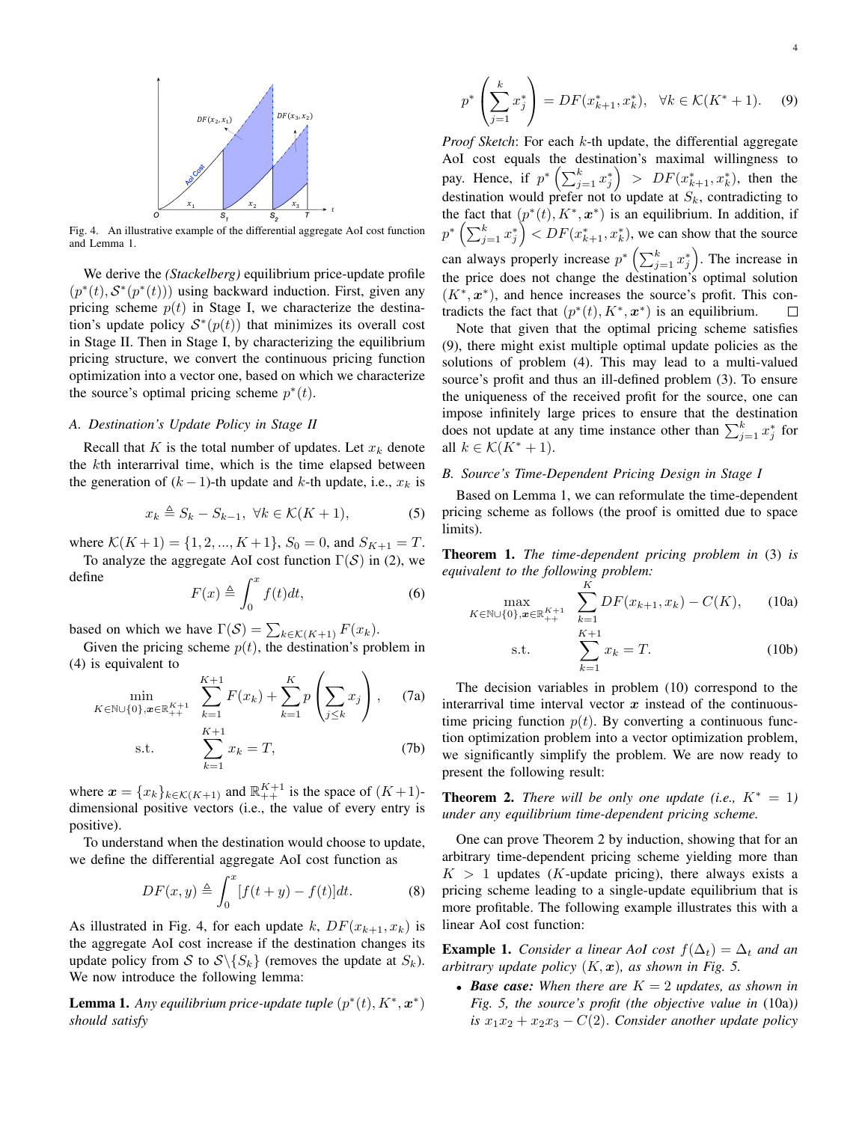

Fig. 4. An illustrative example of the differential aggregate AoI cost function and Lemma 1.

We derive the *(Stackelberg)* equilibrium price-update profile  $(p^*(t), S^*(p^*(t)))$  using backward induction. First, given any pricing scheme  $p(t)$  in Stage I, we characterize the destination's update policy  $S^*(p(t))$  that minimizes its overall cost in Stage II. Then in Stage I, by characterizing the equilibrium pricing structure, we convert the continuous pricing function optimization into a vector one, based on which we characterize the source's optimal pricing scheme  $p^*(t)$ .

#### *A. Destination's Update Policy in Stage II*

Recall that *K* is the total number of updates. Let *x<sup>k</sup>* denote the *k*th interarrival time, which is the time elapsed between the generation of  $(k-1)$ -th update and *k*-th update, i.e.,  $x_k$  is

$$
x_k \triangleq S_k - S_{k-1}, \ \forall k \in \mathcal{K}(K+1), \tag{5}
$$

where  $K(K+1) = \{1, 2, ..., K+1\}$ ,  $S_0 = 0$ , and  $S_{K+1} = T$ .

To analyze the aggregate AoI cost function Γ(*S*) in (2), we define

$$
F(x) \triangleq \int_0^x f(t)dt,\tag{6}
$$

based on which we have  $\Gamma(\mathcal{S}) = \sum_{k \in \mathcal{K}(K+1)} F(x_k)$ .

Given the pricing scheme  $p(t)$ , the destination's problem in (4) is equivalent to

$$
\min_{K \in \mathbb{N} \cup \{0\}, \boldsymbol{x} \in \mathbb{R}_{++}^{K+1}} \sum_{k=1}^{K+1} F(x_k) + \sum_{k=1}^{K} p\left(\sum_{j \le k} x_j\right), \quad (7a)
$$

s.t. 
$$
\sum_{k=1}^{K+1} x_k = T,
$$
 (7b)

where  $\mathbf{x} = \{x_k\}_{k \in \mathcal{K}(K+1)}$  and  $\mathbb{R}_{++}^{K+1}$  is the space of  $(K+1)$ dimensional positive vectors (i.e., the value of every entry is positive).

To understand when the destination would choose to update, we define the differential aggregate AoI cost function as

$$
DF(x, y) \triangleq \int_0^x [f(t+y) - f(t)]dt.
$$
 (8)

As illustrated in Fig. 4, for each update *k*,  $DF(x_{k+1}, x_k)$  is the aggregate AoI cost increase if the destination changes its update policy from *S* to  $S \setminus \{S_k\}$  (removes the update at  $S_k$ ). We now introduce the following lemma:

**Lemma 1.** Any equilibrium price-update tuple  $(p^*(t), K^*, \boldsymbol{x}^*)$ *should satisfy*

*Proof Sketch*: For each *k*-th update, the differential aggregate AoI cost equals the destination's maximal willingness to pay. Hence, if  $p^* \left( \sum_{j=1}^k x_j^* \right) > DF(x_{k+1}^*, x_k^*)$ , then the destination would prefer not to update at *Sk*, contradicting to the fact that  $(p^*(t), K^*, \mathbf{x}^*)$  is an equilibrium. In addition, if  $p^*$   $\left(\sum_{j=1}^k x_j^*\right)$   $\leq$   $DF(x_{k+1}^*, x_k^*)$ , we can show that the source can always properly increase  $p^*$   $\left(\sum_{j=1}^k x_j^*\right)$ . The increase in the price does not change the destination's optimal solution  $(K^*, \mathbf{x}^*)$ , and hence increases the source's profit. This contradicts the fact that  $(p^*(t), K^*, \mathbf{x}^*)$  is an equilibrium.  $\Box$ 

Note that given that the optimal pricing scheme satisfies (9), there might exist multiple optimal update policies as the solutions of problem (4). This may lead to a multi-valued source's profit and thus an ill-defined problem (3). To ensure the uniqueness of the received profit for the source, one can impose infinitely large prices to ensure that the destination does not update at any time instance other than  $\sum_{j=1}^{k} x_j^*$  for all  $k \in \mathcal{K}(K^*+1)$ .

# *B. Source's Time-Dependent Pricing Design in Stage I*

s*.*t*.*

Based on Lemma 1, we can reformulate the time-dependent pricing scheme as follows (the proof is omitted due to space limits).

Theorem 1. *The time-dependent pricing problem in* (3) *is equivalent to the following problem:*

$$
\max_{K \in \mathbb{N} \cup \{0\}, \boldsymbol{x} \in \mathbb{R}_{++}^{K+1}} \sum_{k=1}^{K} DF(x_{k+1}, x_k) - C(K), \qquad (10a)
$$

$$
\sum_{k=1}^{K+1} x_k = T.
$$
 (10b)

The decision variables in problem (10) correspond to the interarrival time interval vector *x* instead of the continuoustime pricing function  $p(t)$ . By converting a continuous function optimization problem into a vector optimization problem, we significantly simplify the problem. We are now ready to present the following result:

**Theorem 2.** *There will be only one update (i.e.,*  $K^* = 1$ ) *under any equilibrium time-dependent pricing scheme.*

One can prove Theorem 2 by induction, showing that for an arbitrary time-dependent pricing scheme yielding more than  $K > 1$  updates (*K*-update pricing), there always exists a pricing scheme leading to a single-update equilibrium that is more profitable. The following example illustrates this with a linear AoI cost function:

**Example 1.** *Consider a linear AoI cost*  $f(\Delta_t) = \Delta_t$  *and an arbitrary update policy* (*K, x*)*, as shown in Fig. 5.*

*• Base case: When there are K* = 2 *updates, as shown in Fig. 5, the source's profit (the objective value in* (10a)*) is*  $x_1x_2 + x_2x_3 - C(2)$ *. Consider another update policy*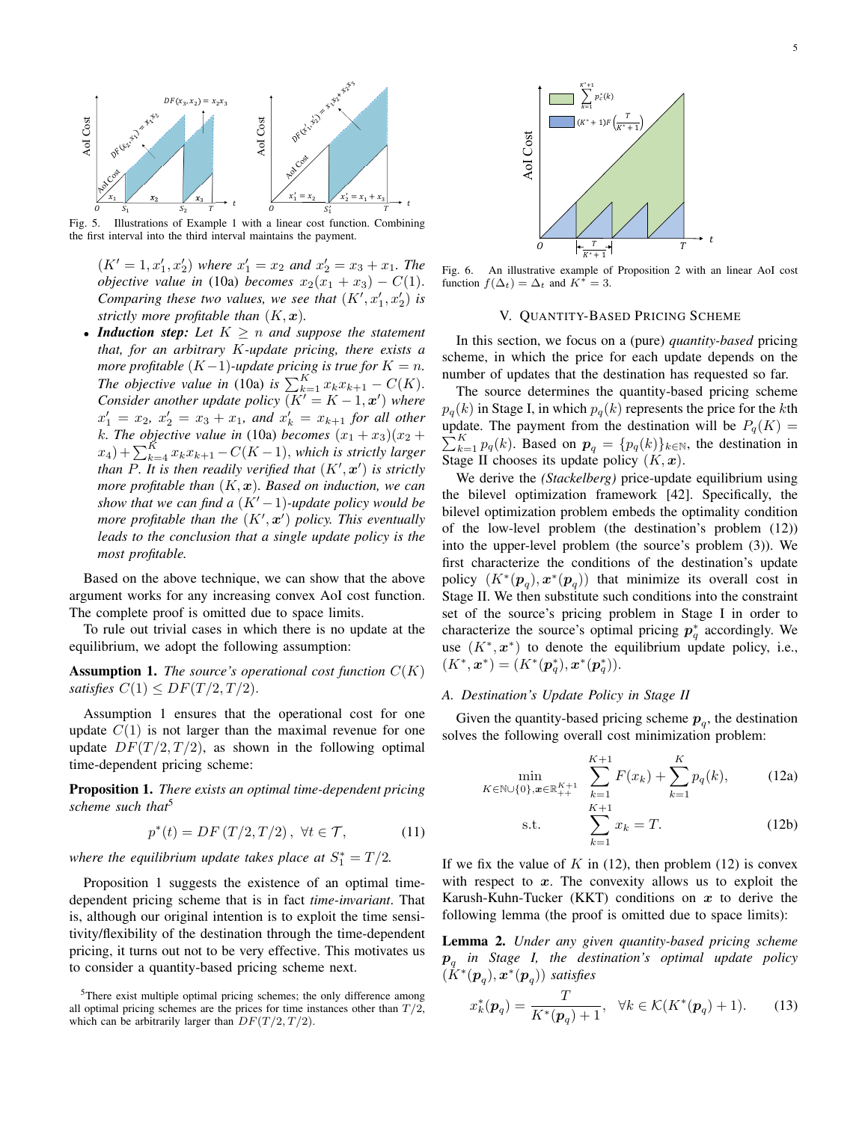

Fig. 5. Illustrations of Example 1 with a linear cost function. Combining the first interval into the third interval maintains the payment.

 $(K' = 1, x'_1, x'_2)$  *where*  $x'_1 = x_2$  *and*  $x'_2 = x_3 + x_1$ *. The objective value in* (10a) *becomes*  $x_2(x_1 + x_3) - C(1)$ *. Comparing these two values, we see that*  $(K', x'_1, x'_2)$  *is strictly more profitable than*  $(K, x)$ *.* 

*• Induction step: Let K* ≥ *n and suppose the statement that, for an arbitrary K-update pricing, there exists a more profitable*  $(K-1)$ *-update pricing is true for*  $K = n$ *. The objective value in* (10a) *is*  $\sum_{k=1}^{K} x_k x_{k+1} - C(K)$ *. Consider another update policy*  $(K' = K - 1, x')$  *where*  $x'_1 = x_2, x'_2 = x_3 + x_1,$  and  $x'_k = x_{k+1}$  for all other *k. The objective value in* (10a) *becomes*  $(x_1 + x_3)(x_2 +$  $f(x_4) + \sum_{k=4}^{K} x_k x_{k+1} - C(K-1)$ *, which is strictly larger than P. It is then readily verified that* (*K*′ *, x*′ ) *is strictly more profitable than* (*K, x*)*. Based on induction, we can show that we can find a*  $(K' - 1)$ *-update policy would be more profitable than the* (*K*′ *, x*′ ) *policy. This eventually leads to the conclusion that a single update policy is the most profitable.*

Based on the above technique, we can show that the above argument works for any increasing convex AoI cost function. The complete proof is omitted due to space limits.

To rule out trivial cases in which there is no update at the equilibrium, we adopt the following assumption:

**Assumption 1.** *The source's operational cost function*  $C(K)$ *satisfies*  $C(1) \leq DF(T/2, T/2)$ *.* 

Assumption 1 ensures that the operational cost for one update  $C(1)$  is not larger than the maximal revenue for one update  $DF(T/2, T/2)$ , as shown in the following optimal time-dependent pricing scheme:

Proposition 1. *There exists an optimal time-dependent pricing scheme such that*<sup>5</sup>

$$
p^*(t) = DF(T/2, T/2), \ \forall t \in \mathcal{T},\tag{11}
$$

*where the equilibrium update takes place at*  $S_1^* = T/2$ *.* 

Proposition 1 suggests the existence of an optimal timedependent pricing scheme that is in fact *time-invariant*. That is, although our original intention is to exploit the time sensitivity/flexibility of the destination through the time-dependent pricing, it turns out not to be very effective. This motivates us to consider a quantity-based pricing scheme next.



Fig. 6. An illustrative example of Proposition 2 with an linear AoI cost function  $f(\Delta_t) = \Delta_t$  and  $K^* = 3$ .

#### V. QUANTITY-BASED PRICING SCHEME

In this section, we focus on a (pure) *quantity-based* pricing scheme, in which the price for each update depends on the number of updates that the destination has requested so far.

The source determines the quantity-based pricing scheme  $p_q(k)$  in Stage I, in which  $p_q(k)$  represents the price for the *k*th update. The payment from the destination will be  $P_q(K)$  =  $\sum_{k=1}^{K} p_q(k)$ . Based on  $p_q = \{p_q(k)\}_{k \in \mathbb{N}}$ , the destination in Stage II chooses its update policy  $(K, x)$ .

We derive the *(Stackelberg)* price-update equilibrium using the bilevel optimization framework [42]. Specifically, the bilevel optimization problem embeds the optimality condition of the low-level problem (the destination's problem (12)) into the upper-level problem (the source's problem (3)). We first characterize the conditions of the destination's update policy  $(K^*(p_q), x^*(p_q))$  that minimize its overall cost in Stage II. We then substitute such conditions into the constraint set of the source's pricing problem in Stage I in order to characterize the source's optimal pricing  $p_q^*$  accordingly. We use  $(K^*, x^*)$  to denote the equilibrium update policy, i.e.,  $(K^*, \mathbf{x}^*) = (K^*(\mathbf{p}_q^*), \mathbf{x}^*(\mathbf{p}_q^*)).$ 

## *A. Destination's Update Policy in Stage II*

Given the quantity-based pricing scheme  $p_q$ , the destination solves the following overall cost minimization problem:

$$
\min_{K \in \mathbb{N} \cup \{0\}, x \in \mathbb{R}_{++}^{K+1}} \sum_{k=1}^{K+1} F(x_k) + \sum_{k=1}^{K} p_q(k), \quad (12a)
$$

s.t. 
$$
\sum_{k=1}^{K+1} x_k = T.
$$
 (12b)

If we fix the value of  $K$  in (12), then problem (12) is convex with respect to *x*. The convexity allows us to exploit the Karush-Kuhn-Tucker (KKT) conditions on *x* to derive the following lemma (the proof is omitted due to space limits):

Lemma 2. *Under any given quantity-based pricing scheme p<sup>q</sup> in Stage I, the destination's optimal update policy*  $(K^*(p_q), x^*(p_q))$  *satisfies* 

$$
x_k^*(p_q) = \frac{T}{K^*(p_q) + 1}, \quad \forall k \in \mathcal{K}(K^*(p_q) + 1). \tag{13}
$$

<sup>&</sup>lt;sup>5</sup>There exist multiple optimal pricing schemes; the only difference among all optimal pricing schemes are the prices for time instances other than  $T/2$ , which can be arbitrarily larger than  $DF(T/2, T/2)$ .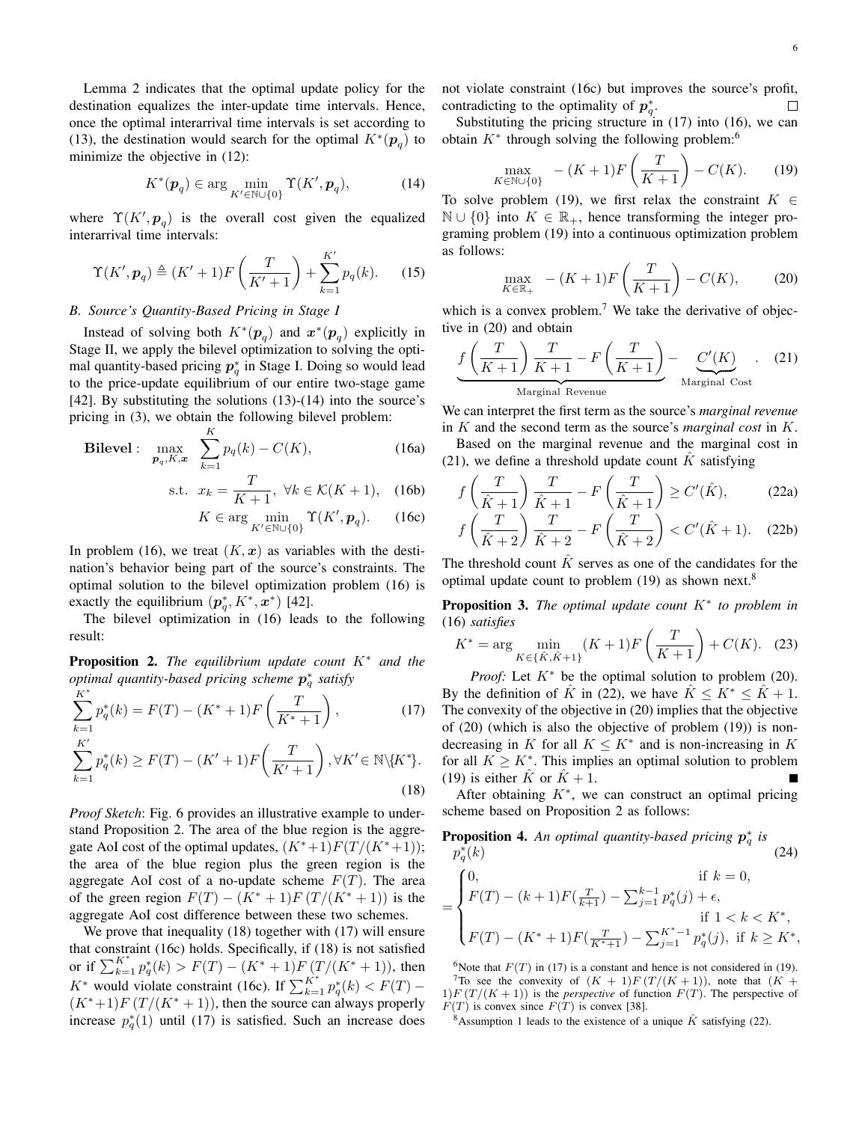Lemma 2 indicates that the optimal update policy for the destination equalizes the inter-update time intervals. Hence, once the optimal interarrival time intervals is set according to (13), the destination would search for the optimal  $K^*(p_q)$  to minimize the objective in (12):

$$
K^*(p_q) \in \arg\min_{K' \in \mathbb{N} \cup \{0\}} \Upsilon(K', p_q),\tag{14}
$$

where  $\Upsilon(K', p_q)$  is the overall cost given the equalized interarrival time intervals:

$$
\Upsilon(K', \mathbf{p}_q) \triangleq (K' + 1)F\left(\frac{T}{K' + 1}\right) + \sum_{k=1}^{K'} p_q(k). \tag{15}
$$

# *B. Source's Quantity-Based Pricing in Stage I*

Instead of solving both  $K^*(p_q)$  and  $x^*(p_q)$  explicitly in Stage II, we apply the bilevel optimization to solving the optimal quantity-based pricing *p*<sup>∗</sup> *<sup>q</sup>* in Stage I. Doing so would lead to the price-update equilibrium of our entire two-stage game [42]. By substituting the solutions (13)-(14) into the source's pricing in (3), we obtain the following bilevel problem:

**Bilevel**: 
$$
\max_{\mathbf{p}_q, K, \mathbf{x}} \sum_{k=1}^{K} p_q(k) - C(K)
$$
, (16a)

$$
\text{s.t. } x_k = \frac{T}{K+1}, \ \forall k \in \mathcal{K}(K+1), \quad \text{(16b)}
$$

$$
K \in \arg\min_{K' \in \mathbb{N} \cup \{0\}} \Upsilon(K', \mathbf{p}_q). \tag{16c}
$$

In problem (16), we treat  $(K, x)$  as variables with the destination's behavior being part of the source's constraints. The optimal solution to the bilevel optimization problem (16) is exactly the equilibrium  $(\boldsymbol{p}_q^*, K^*, \boldsymbol{x}^*)$  [42].

The bilevel optimization in (16) leads to the following result:

Proposition 2. *The equilibrium update count K*<sup>∗</sup> *and the optimal quantity-based pricing scheme p*<sup>∗</sup> *<sup>q</sup> satisfy*

$$
\sum_{k=1}^{K^*} p_q^*(k) = F(T) - (K^* + 1)F\left(\frac{T}{K^* + 1}\right),\tag{17}
$$

$$
\sum_{k=1}^{K'} p_q^*(k) \ge F(T) - (K' + 1)F\left(\frac{T}{K' + 1}\right), \forall K' \in \mathbb{N} \setminus \{K^*\}.
$$
\n(18)

*Proof Sketch*: Fig. 6 provides an illustrative example to understand Proposition 2. The area of the blue region is the aggregate AoI cost of the optimal updates,  $(K^*+1)F(T/(K^*+1));$ the area of the blue region plus the green region is the aggregate AoI cost of a no-update scheme  $F(T)$ . The area of the green region  $F(T) - (K^* + 1)F(T/(K^* + 1))$  is the aggregate AoI cost difference between these two schemes.

We prove that inequality (18) together with (17) will ensure that constraint (16c) holds. Specifically, if (18) is not satisfied or if  $\sum_{k=1}^{K^*} p_q^*(k) > F(T) - (K^* + 1)F(T/(K^* + 1))$ , then *K*<sup>\*</sup> would violate constraint (16c). If  $\sum_{k=1}^{K^*} p_q^*(k) < F(T) (K^*+1)F(T/(K^*+1))$ , then the source can always properly increase  $p_q^*(1)$  until (17) is satisfied. Such an increase does not violate constraint (16c) but improves the source's profit, contradicting to the optimality of  $p_q^*$ .  $\Box$ 

Substituting the pricing structure in (17) into (16), we can obtain  $K^*$  through solving the following problem:<sup>6</sup>

$$
\max_{K \in \mathbb{N} \cup \{0\}} \quad - (K+1)F\left(\frac{T}{K+1}\right) - C(K). \tag{19}
$$

To solve problem (19), we first relax the constraint  $K \in$  $\mathbb{N} \cup \{0\}$  into  $K \in \mathbb{R}_+$ , hence transforming the integer programing problem (19) into a continuous optimization problem as follows:

$$
\max_{K \in \mathbb{R}_+} \ - (K+1)F\left(\frac{T}{K+1}\right) - C(K), \tag{20}
$$

which is a convex problem.<sup>7</sup> We take the derivative of objective in (20) and obtain

$$
\underbrace{f\left(\frac{T}{K+1}\right)\frac{T}{K+1} - F\left(\frac{T}{K+1}\right)}_{\text{Marginal Revenue}} - \underbrace{C'(K)}_{\text{Marginal Cost}}.
$$
 (21)

We can interpret the first term as the source's *marginal revenue* in *K* and the second term as the source's *marginal cost* in *K*.

Based on the marginal revenue and the marginal cost in (21), we define a threshold update count  $\hat{K}$  satisfying

$$
f\left(\frac{T}{\hat{K}+1}\right)\frac{T}{\hat{K}+1} - F\left(\frac{T}{\hat{K}+1}\right) \ge C'(\hat{K}),\tag{22a}
$$

$$
f\left(\frac{T}{\hat{K}+2}\right)\frac{T}{\hat{K}+2} - F\left(\frac{T}{\hat{K}+2}\right) < C'(\hat{K}+1). \tag{22b}
$$

The threshold count  $\tilde{K}$  serves as one of the candidates for the optimal update count to problem  $(19)$  as shown next.<sup>8</sup>

Proposition 3. *The optimal update count K*<sup>∗</sup> *to problem in* (16) *satisfies*

$$
K^* = \arg\min_{K \in \{\hat{K}, \hat{K}+1\}} (K+1) F\left(\frac{T}{K+1}\right) + C(K). \tag{23}
$$

*Proof:* Let  $K^*$  be the optimal solution to problem (20). By the definition of  $\hat{K}$  in (22), we have  $\hat{K} \leq K^* \leq \hat{K} + 1$ . The convexity of the objective in (20) implies that the objective of (20) (which is also the objective of problem (19)) is nondecreasing in *K* for all  $K \leq K^*$  and is non-increasing in *K* for all  $K \geq K^*$ . This implies an optimal solution to problem (19) is either  $\hat{K}$  or  $\hat{K} + 1$ .

After obtaining  $K^*$ , we can construct an optimal pricing scheme based on Proposition 2 as follows:

**Proposition 4.** An optimal quantity-based pricing 
$$
p_q^*
$$
 is  
\n
$$
p_q^*(k)
$$
\n
$$
= \begin{cases}\n0, & \text{if } k = 0, \\
F(T) - (k+1)F(\frac{T}{k+1}) - \sum_{j=1}^{k-1} p_q^*(j) + \epsilon, \\
\text{if } 1 < k < K^*, \\
F(T) - (K^* + 1)F(\frac{T}{K^*+1}) - \sum_{j=1}^{K^* - 1} p_q^*(j), & \text{if } k \ge K^*,\n\end{cases}
$$

<sup>6</sup>Note that  $F(T)$  in (17) is a constant and hence is not considered in (19). <sup>7</sup>To see the convexity of  $(K + 1)F(T/(K + 1))$ , note that  $(K + 1)$  $1) F(T/(K+1))$  is the *perspective* of function  $F(T)$ . The perspective of  $F(T)$  is convex since  $F(T)$  is convex [38].

<sup>8</sup>Assumption 1 leads to the existence of a unique  $\hat{K}$  satisfying (22).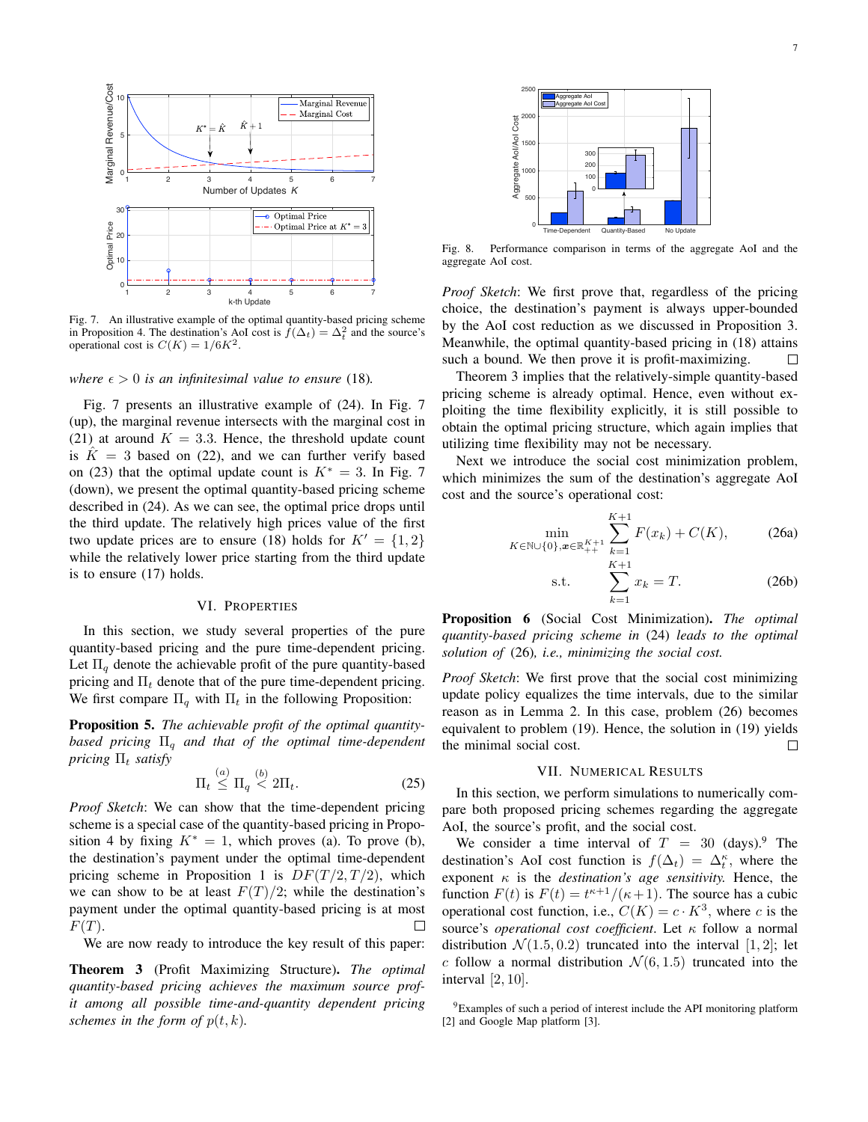

Fig. 7. An illustrative example of the optimal quantity-based pricing scheme in Proposition 4. The destination's AoI cost is  $\bar{f}(\Delta_t) = \Delta_t^2$  and the source's operational cost is  $C(K) = 1/6K^2$ .

*where*  $\epsilon > 0$  *is an infinitesimal value to ensure* (18).

Fig. 7 presents an illustrative example of (24). In Fig. 7 (up), the marginal revenue intersects with the marginal cost in (21) at around  $K = 3.3$ . Hence, the threshold update count is  $K = 3$  based on (22), and we can further verify based on (23) that the optimal update count is  $K^* = 3$ . In Fig. 7 (down), we present the optimal quantity-based pricing scheme described in (24). As we can see, the optimal price drops until the third update. The relatively high prices value of the first two update prices are to ensure (18) holds for  $K' = \{1, 2\}$ while the relatively lower price starting from the third update is to ensure (17) holds.

# VI. PROPERTIES

In this section, we study several properties of the pure quantity-based pricing and the pure time-dependent pricing. Let  $\Pi_q$  denote the achievable profit of the pure quantity-based pricing and Π*<sup>t</sup>* denote that of the pure time-dependent pricing. We first compare  $\Pi_q$  with  $\Pi_t$  in the following Proposition:

Proposition 5. *The achievable profit of the optimal quantitybased pricing* Π*<sup>q</sup> and that of the optimal time-dependent pricing* Π*<sup>t</sup> satisfy*

$$
\Pi_t \stackrel{(a)}{\leq} \Pi_q \stackrel{(b)}{<} 2\Pi_t. \tag{25}
$$

*Proof Sketch*: We can show that the time-dependent pricing scheme is a special case of the quantity-based pricing in Proposition 4 by fixing  $K^* = 1$ , which proves (a). To prove (b), the destination's payment under the optimal time-dependent pricing scheme in Proposition 1 is  $DF(T/2, T/2)$ , which we can show to be at least  $F(T)/2$ ; while the destination's payment under the optimal quantity-based pricing is at most *F*(*T*).  $\Box$ 

We are now ready to introduce the key result of this paper:

Theorem 3 (Profit Maximizing Structure). *The optimal quantity-based pricing achieves the maximum source profit among all possible time-and-quantity dependent pricing schemes in the form of*  $p(t, k)$ *.* 



Fig. 8. Performance comparison in terms of the aggregate AoI and the aggregate AoI cost.

*Proof Sketch*: We first prove that, regardless of the pricing choice, the destination's payment is always upper-bounded by the AoI cost reduction as we discussed in Proposition 3. Meanwhile, the optimal quantity-based pricing in (18) attains such a bound. We then prove it is profit-maximizing.  $\Box$ 

Theorem 3 implies that the relatively-simple quantity-based pricing scheme is already optimal. Hence, even without exploiting the time flexibility explicitly, it is still possible to obtain the optimal pricing structure, which again implies that utilizing time flexibility may not be necessary.

Next we introduce the social cost minimization problem, which minimizes the sum of the destination's aggregate AoI cost and the source's operational cost:

$$
\min_{K \in \mathbb{N} \cup \{0\}, x \in \mathbb{R}_{++}^{K+1}} \sum_{k=1}^{K+1} F(x_k) + C(K),\tag{26a}
$$

s.t. 
$$
\sum_{k=1}^{K+1} x_k = T.
$$
 (26b)

Proposition 6 (Social Cost Minimization). *The optimal quantity-based pricing scheme in* (24) *leads to the optimal solution of* (26)*, i.e., minimizing the social cost.*

*Proof Sketch*: We first prove that the social cost minimizing update policy equalizes the time intervals, due to the similar reason as in Lemma 2. In this case, problem (26) becomes equivalent to problem (19). Hence, the solution in (19) yields the minimal social cost.  $\Box$ 

# VII. NUMERICAL RESULTS

In this section, we perform simulations to numerically compare both proposed pricing schemes regarding the aggregate AoI, the source's profit, and the social cost.

We consider a time interval of  $T = 30$  (days).<sup>9</sup> The destination's AoI cost function is  $f(\Delta_t) = \Delta_t^{\kappa}$ , where the exponent  $\kappa$  is the *destination's age sensitivity*. Hence, the function  $F(t)$  is  $F(t) = t^{\kappa+1}/(\kappa+1)$ . The source has a cubic operational cost function, i.e.,  $C(K) = c \cdot K^3$ , where *c* is the source's *operational cost coefficient*. Let κ follow a normal distribution  $\mathcal{N}(1.5, 0.2)$  truncated into the interval [1, 2]; let *c* follow a normal distribution  $\mathcal{N}(6, 1.5)$  truncated into the interval [2*,* 10].

9Examples of such a period of interest include the API monitoring platform [2] and Google Map platform [3].